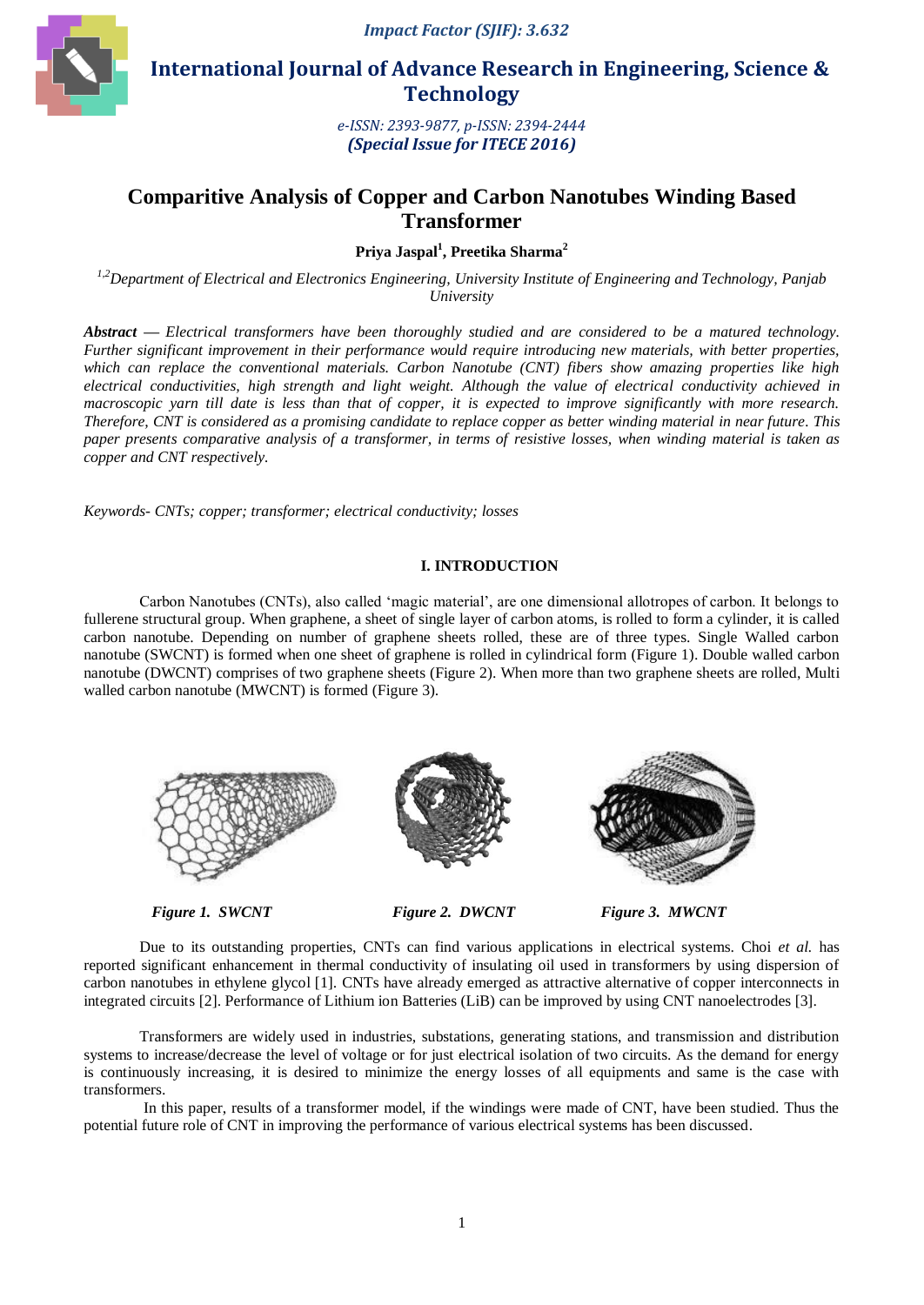

 **International Journal of Advance Research in Engineering, Science & Technology** 

> *e-ISSN: 2393-9877, p-ISSN: 2394-2444 (Special Issue for ITECE 2016)*

# **Comparitive Analysis of Copper and Carbon Nanotubes Winding Based Transformer**

**Priya Jaspal<sup>1</sup> , Preetika Sharma<sup>2</sup>**

*1,2Department of Electrical and Electronics Engineering, University Institute of Engineering and Technology, Panjab University*

*Abstract — Electrical transformers have been thoroughly studied and are considered to be a matured technology. Further significant improvement in their performance would require introducing new materials, with better properties, which can replace the conventional materials. Carbon Nanotube (CNT) fibers show amazing properties like high electrical conductivities, high strength and light weight. Although the value of electrical conductivity achieved in macroscopic yarn till date is less than that of copper, it is expected to improve significantly with more research. Therefore, CNT is considered as a promising candidate to replace copper as better winding material in near future. This paper presents comparative analysis of a transformer, in terms of resistive losses, when winding material is taken as copper and CNT respectively.* 

*Keywords- CNTs; copper; transformer; electrical conductivity; losses*

#### **I. INTRODUCTION**

Carbon Nanotubes (CNTs), also called "magic material", are one dimensional allotropes of carbon. It belongs to fullerene structural group. When graphene, a sheet of single layer of carbon atoms, is rolled to form a cylinder, it is called carbon nanotube. Depending on number of graphene sheets rolled, these are of three types. Single Walled carbon nanotube (SWCNT) is formed when one sheet of graphene is rolled in cylindrical form (Figure 1). Double walled carbon nanotube (DWCNT) comprises of two graphene sheets (Figure 2). When more than two graphene sheets are rolled, Multi walled carbon nanotube (MWCNT) is formed (Figure 3).



*Figure* 1. SWCNT Figure 2. DWCNT Figure 3. MWCNT

Due to its outstanding properties, CNTs can find various applications in electrical systems. Choi *et al.* has reported significant enhancement in thermal conductivity of insulating oil used in transformers by using dispersion of carbon nanotubes in ethylene glycol [1]. CNTs have already emerged as attractive alternative of copper interconnects in integrated circuits [2]. Performance of Lithium ion Batteries (LiB) can be improved by using CNT nanoelectrodes [3].

Transformers are widely used in industries, substations, generating stations, and transmission and distribution systems to increase/decrease the level of voltage or for just electrical isolation of two circuits. As the demand for energy is continuously increasing, it is desired to minimize the energy losses of all equipments and same is the case with transformers.

In this paper, results of a transformer model, if the windings were made of CNT, have been studied. Thus the potential future role of CNT in improving the performance of various electrical systems has been discussed.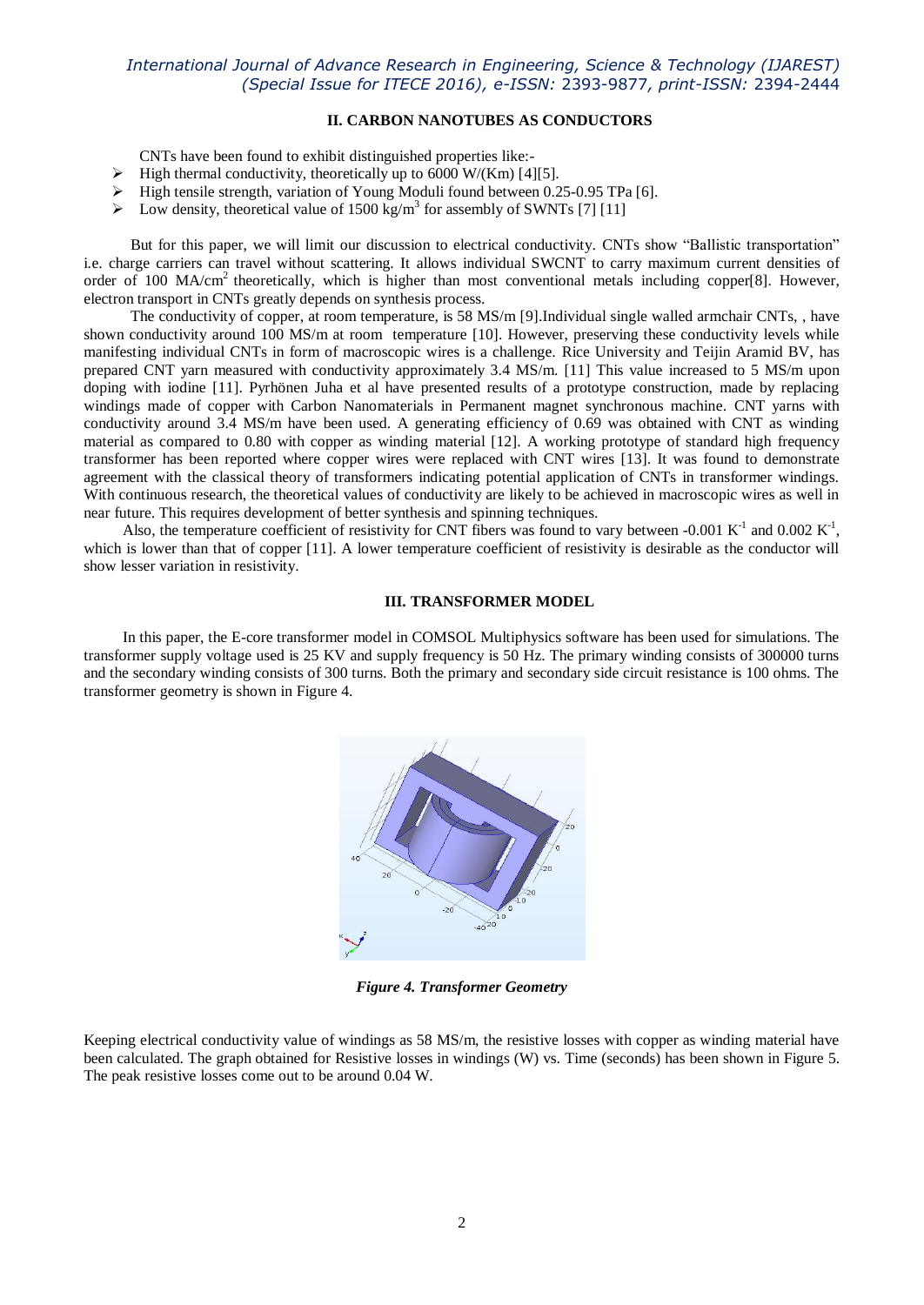## *International Journal of Advance Research in Engineering, Science & Technology (IJAREST) (Special Issue for ITECE 2016), e-ISSN:* 2393-9877*, print-ISSN:* 2394-2444

### **II. CARBON NANOTUBES AS CONDUCTORS**

CNTs have been found to exhibit distinguished properties like:-

- $\triangleright$  High thermal conductivity, theoretically up to 6000 W/(Km) [4][5].
- $\blacktriangleright$  High tensile strength, variation of Young Moduli found between 0.25-0.95 TPa [6].
- $\triangleright$  Low density, theoretical value of 1500 kg/m<sup>3</sup> for assembly of SWNTs [7] [11]

 But for this paper, we will limit our discussion to electrical conductivity. CNTs show "Ballistic transportation" i.e. charge carriers can travel without scattering. It allows individual SWCNT to carry maximum current densities of order of 100 MA/cm<sup>2</sup> theoretically, which is higher than most conventional metals including copper[8]. However, electron transport in CNTs greatly depends on synthesis process.

 The conductivity of copper, at room temperature, is 58 MS/m [9].Individual single walled armchair CNTs, , have shown conductivity around 100 MS/m at room temperature [10]. However, preserving these conductivity levels while manifesting individual CNTs in form of macroscopic wires is a challenge. Rice University and Teijin Aramid BV, has prepared CNT yarn measured with conductivity approximately 3.4 MS/m. [11] This value increased to 5 MS/m upon doping with iodine [11]. Pyrhönen Juha et al have presented results of a prototype construction, made by replacing windings made of copper with Carbon Nanomaterials in Permanent magnet synchronous machine. CNT varns with conductivity around 3.4 MS/m have been used. A generating efficiency of 0.69 was obtained with CNT as winding material as compared to 0.80 with copper as winding material [12]. A working prototype of standard high frequency transformer has been reported where copper wires were replaced with CNT wires [13]. It was found to demonstrate agreement with the classical theory of transformers indicating potential application of CNTs in transformer windings. With continuous research, the theoretical values of conductivity are likely to be achieved in macroscopic wires as well in near future. This requires development of better synthesis and spinning techniques.

Also, the temperature coefficient of resistivity for CNT fibers was found to vary between -0.001  $K^{-1}$  and 0.002  $K^{-1}$ , which is lower than that of copper [11]. A lower temperature coefficient of resistivity is desirable as the conductor will show lesser variation in resistivity.

#### **III. TRANSFORMER MODEL**

 In this paper, the E-core transformer model in COMSOL Multiphysics software has been used for simulations. The transformer supply voltage used is 25 KV and supply frequency is 50 Hz. The primary winding consists of 300000 turns and the secondary winding consists of 300 turns. Both the primary and secondary side circuit resistance is 100 ohms. The transformer geometry is shown in Figure 4.



*Figure 4. Transformer Geometry*

Keeping electrical conductivity value of windings as 58 MS/m, the resistive losses with copper as winding material have been calculated. The graph obtained for Resistive losses in windings (W) vs. Time (seconds) has been shown in Figure 5. The peak resistive losses come out to be around 0.04 W.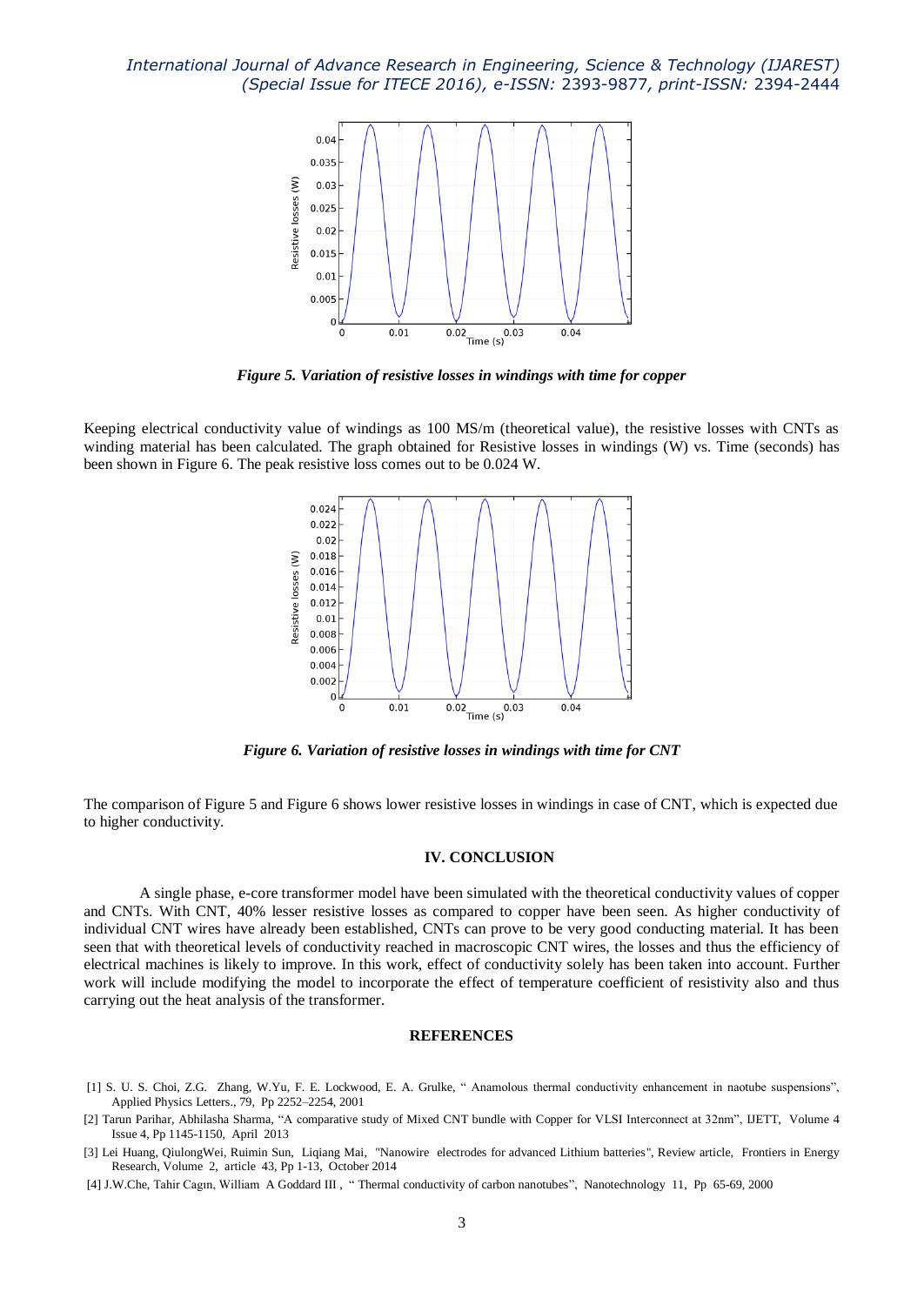*International Journal of Advance Research in Engineering, Science & Technology (IJAREST) (Special Issue for ITECE 2016), e-ISSN:* 2393-9877*, print-ISSN:* 2394-2444



*Figure 5. Variation of resistive losses in windings with time for copper*

Keeping electrical conductivity value of windings as 100 MS/m (theoretical value), the resistive losses with CNTs as winding material has been calculated. The graph obtained for Resistive losses in windings (W) vs. Time (seconds) has been shown in Figure 6. The peak resistive loss comes out to be 0.024 W.



*Figure 6. Variation of resistive losses in windings with time for CNT*

The comparison of Figure 5 and Figure 6 shows lower resistive losses in windings in case of CNT, which is expected due to higher conductivity.

#### **IV. CONCLUSION**

A single phase, e-core transformer model have been simulated with the theoretical conductivity values of copper and CNTs. With CNT, 40% lesser resistive losses as compared to copper have been seen. As higher conductivity of individual CNT wires have already been established, CNTs can prove to be very good conducting material. It has been seen that with theoretical levels of conductivity reached in macroscopic CNT wires, the losses and thus the efficiency of electrical machines is likely to improve. In this work, effect of conductivity solely has been taken into account. Further work will include modifying the model to incorporate the effect of temperature coefficient of resistivity also and thus carrying out the heat analysis of the transformer.

#### **REFERENCES**

- [1] S. U. S. Choi, Z.G. Zhang, W.Yu, F. E. Lockwood, E. A. Grulke, " Anamolous thermal conductivity enhancement in naotube suspensions", Applied Physics Letters., 79, Pp 2252–2254, 2001
- [2] Tarun Parihar, Abhilasha Sharma, "A comparative study of Mixed CNT bundle with Copper for VLSI Interconnect at 32nm", IJETT, Volume 4 Issue 4, Pp 1145-1150, April 2013
- [3] Lei Huang, QiulongWei, Ruimin Sun, Liqiang Mai, "Nanowire electrodes for advanced Lithium batteries", Review article, Frontiers in Energy Research, Volume 2, article 43, Pp 1-13, October 2014
- [4] J.W.Che, Tahir Cagın, William A Goddard III , " Thermal conductivity of carbon nanotubes", Nanotechnology 11, Pp 65-69, 2000